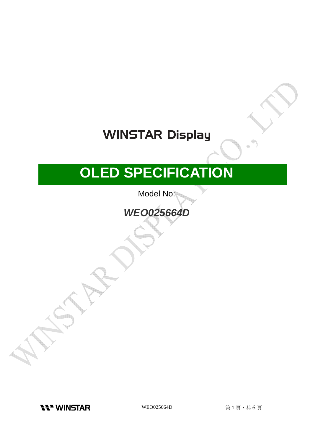# **WINSTAR Display**

# **OLED SPECIFICATION**

Model No:

### **WEO025664D**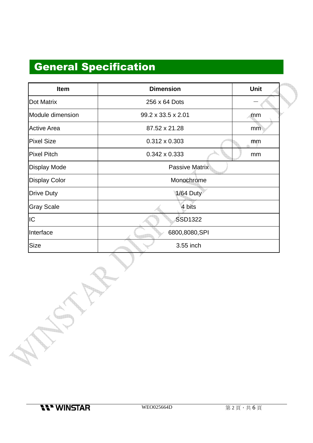## General Specification

| <b>Item</b>          | <b>Dimension</b>      | Unit |  |  |  |
|----------------------|-----------------------|------|--|--|--|
| <b>Dot Matrix</b>    | 256 x 64 Dots         |      |  |  |  |
| Module dimension     | 99.2 x 33.5 x 2.01    | mm   |  |  |  |
| <b>Active Area</b>   | 87.52 x 21.28         | mm   |  |  |  |
| <b>Pixel Size</b>    | $0.312 \times 0.303$  | mm   |  |  |  |
| <b>Pixel Pitch</b>   | $0.342 \times 0.333$  | mm   |  |  |  |
| <b>Display Mode</b>  | <b>Passive Matrix</b> |      |  |  |  |
| <b>Display Color</b> | Monochrome            |      |  |  |  |
| <b>Drive Duty</b>    | <b>1/64 Duty</b>      |      |  |  |  |
| <b>Gray Scale</b>    | 4 bits                |      |  |  |  |
| IС                   | <b>SSD1322</b>        |      |  |  |  |
| Interface            | 6800,8080,SPI         |      |  |  |  |
| Size                 | 3.55 inch             |      |  |  |  |

**11" WINSTAR** 

988888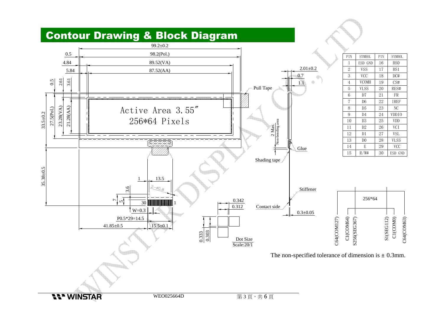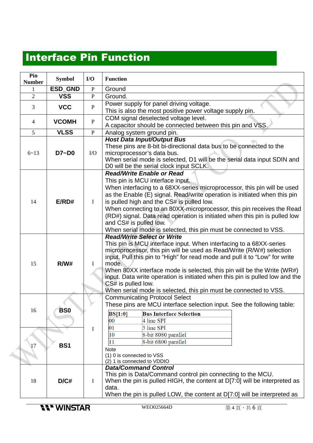### Interface Pin Function

|  | Pin<br><b>Number</b> | <b>Symbol</b>      | I/O          | <b>Function</b>                                                                                                                                                                                                                                                                                                                                                                                                                                                                                                                                                                                                                                                                                                                                                                                                                                                                                                                                                                                                                                                                                                                                                                                                                                                                                                                                                                                                                                                                                                                                                        |         |  |  |
|--|----------------------|--------------------|--------------|------------------------------------------------------------------------------------------------------------------------------------------------------------------------------------------------------------------------------------------------------------------------------------------------------------------------------------------------------------------------------------------------------------------------------------------------------------------------------------------------------------------------------------------------------------------------------------------------------------------------------------------------------------------------------------------------------------------------------------------------------------------------------------------------------------------------------------------------------------------------------------------------------------------------------------------------------------------------------------------------------------------------------------------------------------------------------------------------------------------------------------------------------------------------------------------------------------------------------------------------------------------------------------------------------------------------------------------------------------------------------------------------------------------------------------------------------------------------------------------------------------------------------------------------------------------------|---------|--|--|
|  | 1                    | ESD_GND            | $\, {\bf P}$ | Ground                                                                                                                                                                                                                                                                                                                                                                                                                                                                                                                                                                                                                                                                                                                                                                                                                                                                                                                                                                                                                                                                                                                                                                                                                                                                                                                                                                                                                                                                                                                                                                 |         |  |  |
|  | $\overline{2}$       | <b>VSS</b>         | $\mathbf{P}$ | Ground.                                                                                                                                                                                                                                                                                                                                                                                                                                                                                                                                                                                                                                                                                                                                                                                                                                                                                                                                                                                                                                                                                                                                                                                                                                                                                                                                                                                                                                                                                                                                                                |         |  |  |
|  | 3                    | <b>VCC</b>         | $\mathbf{P}$ | Power supply for panel driving voltage.<br>This is also the most positive power voltage supply pin.<br>COM signal deselected voltage level.<br>A capacitor should be connected between this pin and VSS.<br>Analog system ground pin.<br><b>Host Data Input/Output Bus</b><br>These pins are 8-bit bi-directional data bus to be connected to the<br>microprocessor's data bus.<br>When serial mode is selected, D1 will be the serial data input SDIN and<br>D0 will be the serial clock input SCLK.<br><b>Read/Write Enable or Read</b><br>This pin is MCU interface input.<br>When interfacing to a 68XX-series microprocessor, this pin will be used<br>as the Enable (E) signal. Read/write operation is initiated when this pin<br>is pulled high and the CS# is pulled low.<br>When connecting to an 80XX-microprocessor, this pin receives the Read<br>(RD#) signal. Data read operation is initiated when this pin is pulled low<br>and CS# is pulled low.<br>When serial mode is selected, this pin must be connected to VSS.<br><b>Read/Write Select or Write</b><br>This pin is MCU interface input. When interfacing to a 68XX-series<br>microprocessor, this pin will be used as Read/Write (R/W#) selection<br>input. Pull this pin to "High" for read mode and pull it to "Low" for write<br>mode.<br>When 80XX interface mode is selected, this pin will be the Write (WR#)<br>input. Data write operation is initiated when this pin is pulled low and the<br>CS# is pulled low.<br>When serial mode is selected, this pin must be connected to VSS. |         |  |  |
|  | $\overline{4}$       | <b>VCOMH</b>       | $\mathbf{P}$ |                                                                                                                                                                                                                                                                                                                                                                                                                                                                                                                                                                                                                                                                                                                                                                                                                                                                                                                                                                                                                                                                                                                                                                                                                                                                                                                                                                                                                                                                                                                                                                        |         |  |  |
|  | 5                    | <b>VLSS</b>        | $\mathbf{P}$ |                                                                                                                                                                                                                                                                                                                                                                                                                                                                                                                                                                                                                                                                                                                                                                                                                                                                                                                                                                                                                                                                                                                                                                                                                                                                                                                                                                                                                                                                                                                                                                        |         |  |  |
|  | $6 - 13$             | D7~D0              | $\rm LO$     |                                                                                                                                                                                                                                                                                                                                                                                                                                                                                                                                                                                                                                                                                                                                                                                                                                                                                                                                                                                                                                                                                                                                                                                                                                                                                                                                                                                                                                                                                                                                                                        |         |  |  |
|  | 14                   | E/RD#              | $\mathbf I$  |                                                                                                                                                                                                                                                                                                                                                                                                                                                                                                                                                                                                                                                                                                                                                                                                                                                                                                                                                                                                                                                                                                                                                                                                                                                                                                                                                                                                                                                                                                                                                                        |         |  |  |
|  | 15                   | R/W#               | Ι            |                                                                                                                                                                                                                                                                                                                                                                                                                                                                                                                                                                                                                                                                                                                                                                                                                                                                                                                                                                                                                                                                                                                                                                                                                                                                                                                                                                                                                                                                                                                                                                        |         |  |  |
|  | 16                   |                    |              | <b>Communicating Protocol Select</b>                                                                                                                                                                                                                                                                                                                                                                                                                                                                                                                                                                                                                                                                                                                                                                                                                                                                                                                                                                                                                                                                                                                                                                                                                                                                                                                                                                                                                                                                                                                                   |         |  |  |
|  |                      | BS <sub>0</sub>    |              | These pins are MCU interface selection input. See the following table:<br>BS[1:0]<br><b>Bus Interface Selection</b>                                                                                                                                                                                                                                                                                                                                                                                                                                                                                                                                                                                                                                                                                                                                                                                                                                                                                                                                                                                                                                                                                                                                                                                                                                                                                                                                                                                                                                                    |         |  |  |
|  |                      |                    |              | 4 line SPI<br>00                                                                                                                                                                                                                                                                                                                                                                                                                                                                                                                                                                                                                                                                                                                                                                                                                                                                                                                                                                                                                                                                                                                                                                                                                                                                                                                                                                                                                                                                                                                                                       |         |  |  |
|  |                      |                    | I            | 3 line SPI<br>01                                                                                                                                                                                                                                                                                                                                                                                                                                                                                                                                                                                                                                                                                                                                                                                                                                                                                                                                                                                                                                                                                                                                                                                                                                                                                                                                                                                                                                                                                                                                                       |         |  |  |
|  |                      |                    |              | 8-bit 8080 parallel<br>10                                                                                                                                                                                                                                                                                                                                                                                                                                                                                                                                                                                                                                                                                                                                                                                                                                                                                                                                                                                                                                                                                                                                                                                                                                                                                                                                                                                                                                                                                                                                              |         |  |  |
|  |                      |                    |              | 8-bit 6800 parallel<br>11                                                                                                                                                                                                                                                                                                                                                                                                                                                                                                                                                                                                                                                                                                                                                                                                                                                                                                                                                                                                                                                                                                                                                                                                                                                                                                                                                                                                                                                                                                                                              |         |  |  |
|  | 17                   | <b>BS1</b>         |              | <b>Note</b><br>(1) 0 is connected to VSS<br>(2) 1 is connected to VDDIO                                                                                                                                                                                                                                                                                                                                                                                                                                                                                                                                                                                                                                                                                                                                                                                                                                                                                                                                                                                                                                                                                                                                                                                                                                                                                                                                                                                                                                                                                                |         |  |  |
|  | 18                   | D/C#               | $\bf{I}$     | <b>Data/Command Control</b><br>This pin is Data/Command control pin connecting to the MCU.<br>When the pin is pulled HIGH, the content at D[7:0] will be interpreted as<br>data.<br>When the pin is pulled LOW, the content at D[7:0] will be interpreted as                                                                                                                                                                                                                                                                                                                                                                                                                                                                                                                                                                                                                                                                                                                                                                                                                                                                                                                                                                                                                                                                                                                                                                                                                                                                                                           |         |  |  |
|  |                      | <b>11" WINSTAR</b> |              | WEO025664D                                                                                                                                                                                                                                                                                                                                                                                                                                                                                                                                                                                                                                                                                                                                                                                                                                                                                                                                                                                                                                                                                                                                                                                                                                                                                                                                                                                                                                                                                                                                                             | 第4頁,共6頁 |  |  |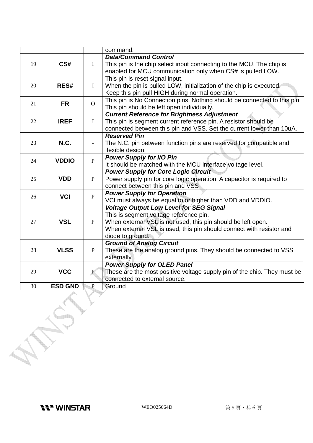|    |                |                          | command.                                                                 |  |  |  |
|----|----------------|--------------------------|--------------------------------------------------------------------------|--|--|--|
|    | CS#            | $\bf{I}$                 | <b>Data/Command Control</b>                                              |  |  |  |
| 19 |                |                          | This pin is the chip select input connecting to the MCU. The chip is     |  |  |  |
|    |                |                          | enabled for MCU communication only when CS# is pulled LOW.               |  |  |  |
|    |                |                          | This pin is reset signal input.                                          |  |  |  |
| 20 | RES#           | $\bf{I}$                 | When the pin is pulled LOW, initialization of the chip is executed.      |  |  |  |
|    |                |                          | Keep this pin pull HIGH during normal operation.                         |  |  |  |
| 21 |                | $\overline{O}$           | This pin is No Connection pins. Nothing should be connected to this pin. |  |  |  |
|    | <b>FR</b>      |                          | This pin should be left open individually.                               |  |  |  |
|    | <b>IREF</b>    | $\mathbf I$              | <b>Current Reference for Brightness Adjustment</b>                       |  |  |  |
| 22 |                |                          | This pin is segment current reference pin. A resistor should be          |  |  |  |
|    |                |                          | connected between this pin and VSS. Set the current lower than 10uA.     |  |  |  |
|    |                |                          | <b>Reserved Pin</b>                                                      |  |  |  |
| 23 | N.C.           | $\overline{\phantom{a}}$ | The N.C. pin between function pins are reserved for compatible and       |  |  |  |
|    |                |                          | flexible design.                                                         |  |  |  |
| 24 | <b>VDDIO</b>   | $\mathbf{P}$             | <b>Power Supply for I/O Pin</b>                                          |  |  |  |
|    |                |                          | It should be matched with the MCU interface voltage level.               |  |  |  |
|    |                |                          | <b>Power Supply for Core Logic Circuit</b>                               |  |  |  |
| 25 | <b>VDD</b>     | $\mathbf{P}$             | Power supply pin for core logic operation. A capacitor is required to    |  |  |  |
|    |                |                          | connect between this pin and VSS                                         |  |  |  |
|    | <b>VCI</b>     | $\mathbf{P}$             | <b>Power Supply for Operation</b>                                        |  |  |  |
| 26 |                |                          | VCI must always be equal to or higher than VDD and VDDIO.                |  |  |  |
|    | <b>VSL</b>     | $\mathbf{P}$             | <b>Voltage Output Low Level for SEG Signal</b>                           |  |  |  |
|    |                |                          | This is segment voltage reference pin.                                   |  |  |  |
| 27 |                |                          | When external VSL is not used, this pin should be left open.             |  |  |  |
|    |                |                          | When external VSL is used, this pin should connect with resistor and     |  |  |  |
|    |                |                          | diode to ground.                                                         |  |  |  |
|    | <b>VLSS</b>    | $\mathbf{P}$             | <b>Ground of Analog Circuit</b>                                          |  |  |  |
| 28 |                |                          | These are the analog ground pins. They should be connected to VSS        |  |  |  |
|    |                |                          | externally.                                                              |  |  |  |
|    |                |                          | <b>Power Supply for OLED Panel</b>                                       |  |  |  |
| 29 | <b>VCC</b>     | P                        | These are the most positive voltage supply pin of the chip. They must be |  |  |  |
|    |                |                          | connected to external source.                                            |  |  |  |
| 30 | <b>ESD GND</b> | $\mathbf{P}$             | Ground                                                                   |  |  |  |
|    |                |                          |                                                                          |  |  |  |
|    |                |                          |                                                                          |  |  |  |
|    |                |                          |                                                                          |  |  |  |
|    |                |                          |                                                                          |  |  |  |
|    |                |                          |                                                                          |  |  |  |
|    |                |                          |                                                                          |  |  |  |
|    |                |                          |                                                                          |  |  |  |
|    |                |                          |                                                                          |  |  |  |
|    |                |                          |                                                                          |  |  |  |
|    |                |                          |                                                                          |  |  |  |